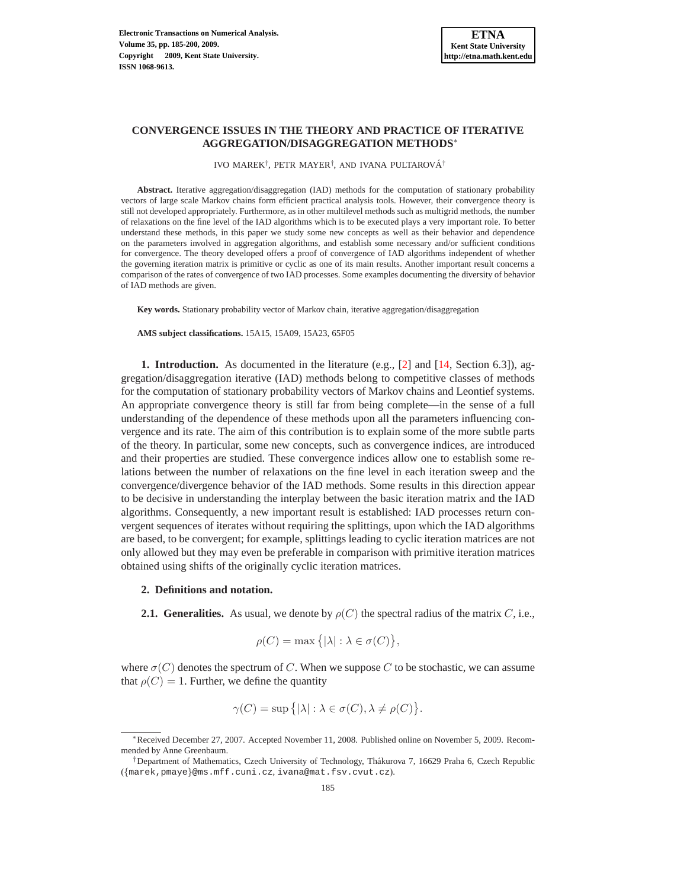## **CONVERGENCE ISSUES IN THE THEORY AND PRACTICE OF ITERATIVE AGGREGATION/DISAGGREGATION METHODS**<sup>∗</sup>

IVO MAREK<sup>†</sup>, PETR MAYER<sup>†</sup>, AND IVANA PULTAROVÁ<sup>†</sup>

**Abstract.** Iterative aggregation/disaggregation (IAD) methods for the computation of stationary probability vectors of large scale Markov chains form efficient practical analysis tools. However, their convergence theory is still not developed appropriately. Furthermore, as in other multilevel methods such as multigrid methods, the number of relaxations on the fine level of the IAD algorithms which is to be executed plays a very important role. To better understand these methods, in this paper we study some new concepts as well as their behavior and dependence on the parameters involved in aggregation algorithms, and establish some necessary and/or sufficient conditions for convergence. The theory developed offers a proof of convergence of IAD algorithms independent of whether the governing iteration matrix is primitive or cyclic as one of its main results. Another important result concerns a comparison of the rates of convergence of two IAD processes. Some examples documenting the diversity of behavior of IAD methods are given.

**Key words.** Stationary probability vector of Markov chain, iterative aggregation/disaggregation

**AMS subject classifications.** 15A15, 15A09, 15A23, 65F05

**1. Introduction.** As documented in the literature (e.g., [\[2\]](#page-15-0) and [\[14,](#page-15-1) Section 6.3]), aggregation/disaggregation iterative (IAD) methods belong to competitive classes of methods for the computation of stationary probability vectors of Markov chains and Leontief systems. An appropriate convergence theory is still far from being complete—in the sense of a full understanding of the dependence of these methods upon all the parameters influencing convergence and its rate. The aim of this contribution is to explain some of the more subtle parts of the theory. In particular, some new concepts, such as convergence indices, are introduced and their properties are studied. These convergence indices allow one to establish some relations between the number of relaxations on the fine level in each iteration sweep and the convergence/divergence behavior of the IAD methods. Some results in this direction appear to be decisive in understanding the interplay between the basic iteration matrix and the IAD algorithms. Consequently, a new important result is established: IAD processes return convergent sequences of iterates without requiring the splittings, upon which the IAD algorithms are based, to be convergent; for example, splittings leading to cyclic iteration matrices are not only allowed but they may even be preferable in comparison with primitive iteration matrices obtained using shifts of the originally cyclic iteration matrices.

## **2. Definitions and notation.**

**2.1. Generalities.** As usual, we denote by  $\rho(C)$  the spectral radius of the matrix C, i.e.,

$$
\rho(C) = \max\left\{ |\lambda| : \lambda \in \sigma(C) \right\},\
$$

where  $\sigma(C)$  denotes the spectrum of C. When we suppose C to be stochastic, we can assume that  $\rho(C) = 1$ . Further, we define the quantity

$$
\gamma(C) = \sup \{ |\lambda| : \lambda \in \sigma(C), \lambda \neq \rho(C) \}.
$$

<sup>∗</sup>Received December 27, 2007. Accepted November 11, 2008. Published online on November 5, 2009. Recommended by Anne Greenbaum.

<sup>†</sup>Department of Mathematics, Czech University of Technology, Thakurova 7, 16629 Praha 6, Czech Republic ´ ({marek,pmaye}@ms.mff.cuni.cz, ivana@mat.fsv.cvut.cz).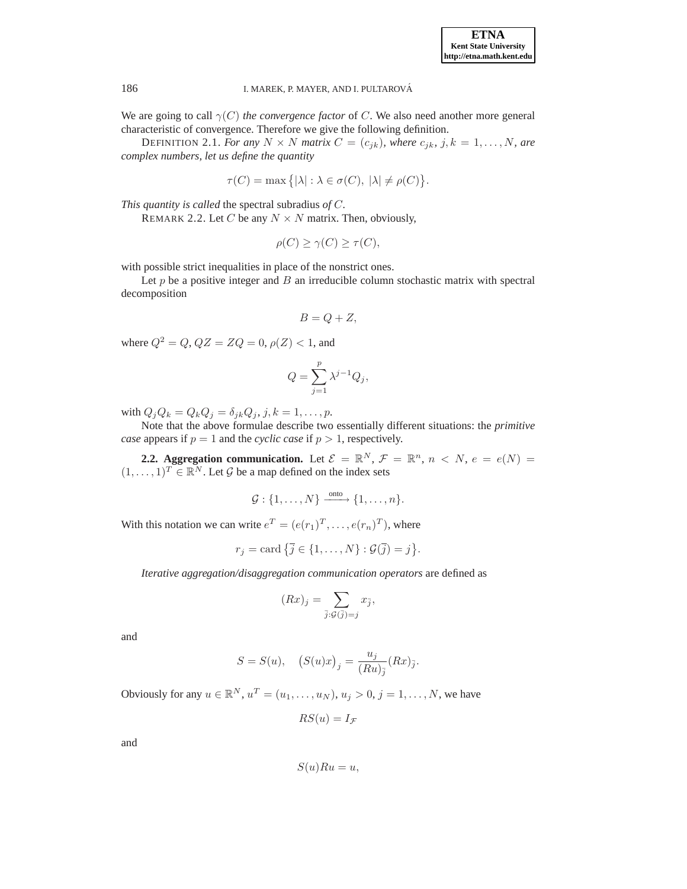We are going to call  $\gamma(C)$  *the convergence factor* of C. We also need another more general characteristic of convergence. Therefore we give the following definition.

DEFINITION 2.1. *For any*  $N \times N$  *matrix*  $C = (c_{jk})$ *, where*  $c_{jk}$ *, j*,  $k = 1, ..., N$ *, are complex numbers, let us define the quantity*

$$
\tau(C) = \max\big\{ |\lambda| : \lambda \in \sigma(C), \ |\lambda| \neq \rho(C) \big\}.
$$

*This quantity is called* the spectral subradius *of* C*.*

REMARK 2.2. Let C be any  $N \times N$  matrix. Then, obviously,

$$
\rho(C) \ge \gamma(C) \ge \tau(C),
$$

with possible strict inequalities in place of the nonstrict ones.

Let  $p$  be a positive integer and  $B$  an irreducible column stochastic matrix with spectral decomposition

$$
B=Q+Z,
$$

where  $Q^2 = Q$ ,  $QZ = ZQ = 0$ ,  $\rho(Z) < 1$ , and

$$
Q = \sum_{j=1}^{p} \lambda^{j-1} Q_j,
$$

with  $Q_jQ_k = Q_kQ_j = \delta_{jk}Q_j$ ,  $j, k = 1, \ldots, p$ .

Note that the above formulae describe two essentially different situations: the *primitive case* appears if  $p = 1$  and the *cyclic case* if  $p > 1$ , respectively.

**2.2. Aggregation communication.** Let  $\mathcal{E} = \mathbb{R}^N$ ,  $\mathcal{F} = \mathbb{R}^n$ ,  $n \lt N$ ,  $e = e(N) =$  $(1, \ldots, 1)^T \in \mathbb{R}^N$ . Let G be a map defined on the index sets

$$
\mathcal{G}: \{1,\ldots,N\} \xrightarrow{\text{onto}} \{1,\ldots,n\}.
$$

With this notation we can write  $e^T = (e(r_1)^T, \dots, e(r_n)^T)$ , where

$$
r_j = \text{card} \left\{ \overline{j} \in \{1, \ldots, N\} : \mathcal{G}(\overline{j}) = j \right\}.
$$

*Iterative aggregation/disaggregation communication operators* are defined as

$$
(Rx)_j = \sum_{\overline{j}: \mathcal{G}(\overline{j}) = j} x_{\overline{j}},
$$

and

$$
S = S(u), \quad (S(u)x)_j = \frac{u_j}{(Ru)_{\overline{j}}}(Rx)_{\overline{j}}.
$$

Obviously for any  $u \in \mathbb{R}^N$ ,  $u^T = (u_1, \dots, u_N)$ ,  $u_j > 0$ ,  $j = 1, \dots, N$ , we have

$$
RS(u) = I_{\mathcal{F}}
$$

and

$$
S(u)Ru=u,
$$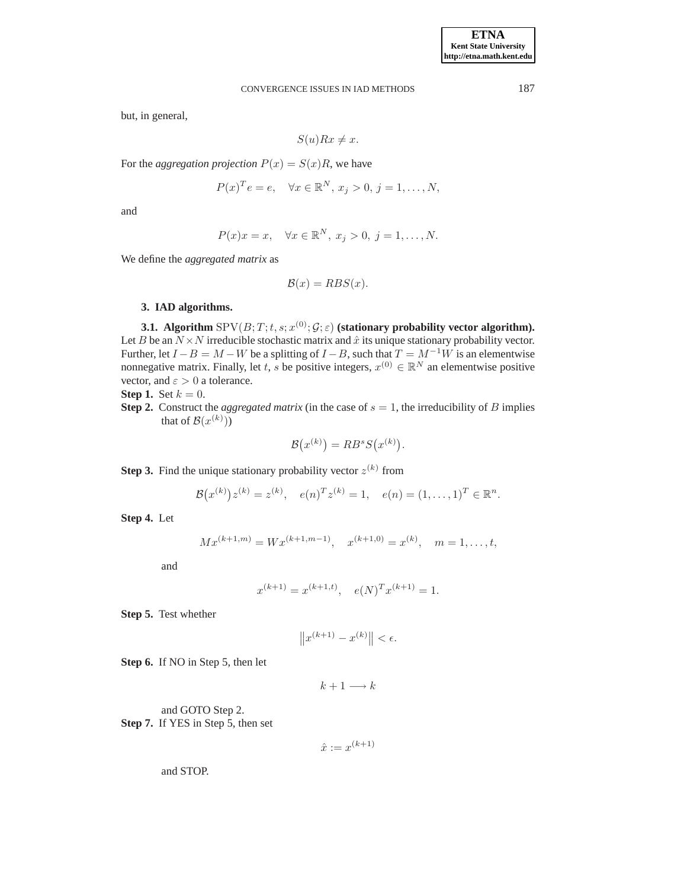but, in general,

$$
S(u)Rx \neq x.
$$

For the *aggregation projection*  $P(x) = S(x)R$ , we have

$$
P(x)^{T}e = e, \quad \forall x \in \mathbb{R}^{N}, x_{j} > 0, j = 1, \dots, N,
$$

and

$$
P(x)x = x, \quad \forall x \in \mathbb{R}^N, x_j > 0, j = 1, \dots, N.
$$

We define the *aggregated matrix* as

$$
\mathcal{B}(x) = RBS(x).
$$

## **3. IAD algorithms.**

<span id="page-2-0"></span>**3.1.** Algorithm  $\mathrm{SPV}(B;T;t,s;x^{(0)};\mathcal{G};\varepsilon)$  (stationary probability vector algorithm). Let B be an  $N \times N$  irreducible stochastic matrix and  $\hat{x}$  its unique stationary probability vector. Further, let  $I - B = M - W$  be a splitting of  $I - B$ , such that  $T = M^{-1}W$  is an elementwise nonnegative matrix. Finally, let t, s be positive integers,  $x^{(0)} \in \mathbb{R}^N$  an elementwise positive vector, and  $\varepsilon > 0$  a tolerance.

**Step 1.** Set  $k = 0$ .

**Step 2.** Construct the *aggregated matrix* (in the case of  $s = 1$ , the irreducibility of B implies that of  $\mathcal{B}(x^{(k)}))$ 

$$
\mathcal{B}(x^{(k)}) = RB^s S(x^{(k)}).
$$

**Step 3.** Find the unique stationary probability vector  $z^{(k)}$  from

$$
\mathcal{B}(x^{(k)})z^{(k)} = z^{(k)}, \quad e(n)^T z^{(k)} = 1, \quad e(n) = (1, \dots, 1)^T \in \mathbb{R}^n.
$$

**Step 4.** Let

$$
Mx^{(k+1,m)} = Wx^{(k+1,m-1)}, \quad x^{(k+1,0)} = x^{(k)}, \quad m = 1, \dots, t,
$$

and

$$
x^{(k+1)} = x^{(k+1,t)}, \quad e(N)^T x^{(k+1)} = 1.
$$

**Step 5.** Test whether

$$
||x^{(k+1)} - x^{(k)}|| < \epsilon.
$$

**Step 6.** If NO in Step 5, then let

 $k+1 \longrightarrow k$ 

and GOTO Step 2. **Step 7.** If YES in Step 5, then set

$$
\hat{x} := x^{(k+1)}
$$

and STOP.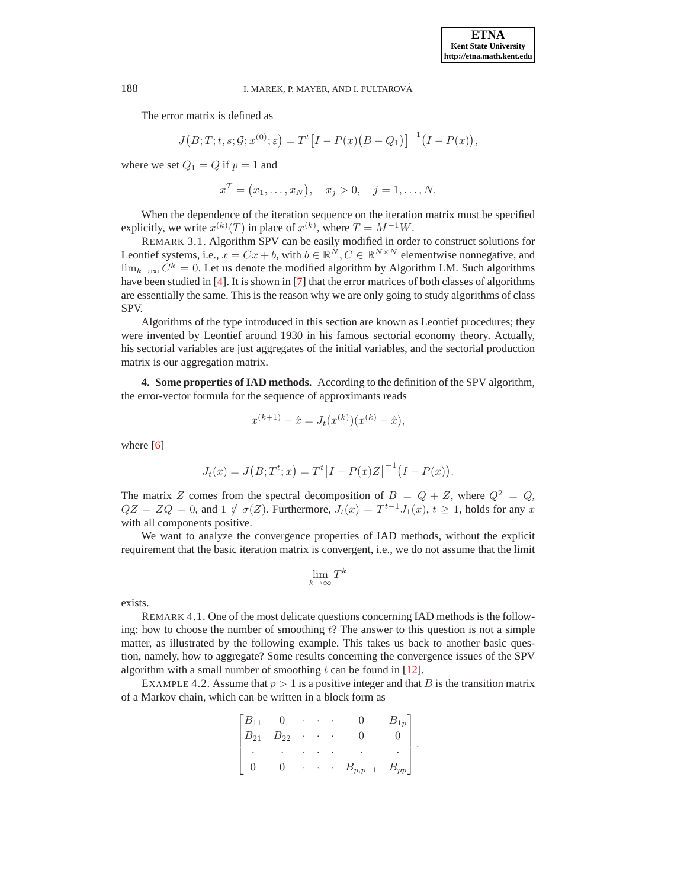The error matrix is defined as

$$
J(B;T;t,s;G;x^{(0)};\varepsilon) = T^{t}[I - P(x)(B - Q_{1})]^{-1}(I - P(x)),
$$

where we set  $Q_1 = Q$  if  $p = 1$  and

$$
x^T = (x_1, ..., x_N), x_j > 0, j = 1, ..., N.
$$

When the dependence of the iteration sequence on the iteration matrix must be specified explicitly, we write  $x^{(k)}(T)$  in place of  $x^{(k)}$ , where  $T = M^{-1}W$ .

REMARK 3.1. Algorithm SPV can be easily modified in order to construct solutions for Leontief systems, i.e.,  $x = Cx + b$ , with  $b \in \mathbb{R}^N, C \in \mathbb{R}^{N \times N}$  elementwise nonnegative, and  $\lim_{k\to\infty} C^k = 0$ . Let us denote the modified algorithm by Algorithm LM. Such algorithms have been studied in [\[4\]](#page-15-2). It is shown in [\[7\]](#page-15-3) that the error matrices of both classes of algorithms are essentially the same. This is the reason why we are only going to study algorithms of class SPV.

Algorithms of the type introduced in this section are known as Leontief procedures; they were invented by Leontief around 1930 in his famous sectorial economy theory. Actually, his sectorial variables are just aggregates of the initial variables, and the sectorial production matrix is our aggregation matrix.

**4. Some properties of IAD methods.** According to the definition of the SPV algorithm, the error-vector formula for the sequence of approximants reads

$$
x^{(k+1)} - \hat{x} = J_t(x^{(k)}) (x^{(k)} - \hat{x}),
$$

where [\[6\]](#page-15-4)

$$
J_t(x) = J(B; T^t; x) = T^t [I - P(x)Z]^{-1} (I - P(x)).
$$

The matrix Z comes from the spectral decomposition of  $B = Q + Z$ , where  $Q^2 = Q$ ,  $QZ = ZQ = 0$ , and  $1 \notin \sigma(Z)$ . Furthermore,  $J_t(x) = T^{t-1}J_1(x)$ ,  $t \ge 1$ , holds for any x with all components positive.

We want to analyze the convergence properties of IAD methods, without the explicit requirement that the basic iteration matrix is convergent, i.e., we do not assume that the limit

$$
\lim_{k\to\infty} T^k
$$

exists.

REMARK 4.1. One of the most delicate questions concerning IAD methods is the following: how to choose the number of smoothing  $t$ ? The answer to this question is not a simple matter, as illustrated by the following example. This takes us back to another basic question, namely, how to aggregate? Some results concerning the convergence issues of the SPV algorithm with a small number of smoothing  $t$  can be found in [\[12\]](#page-15-5).

EXAMPLE 4.2. Assume that  $p > 1$  is a positive integer and that B is the transition matrix of a Markov chain, which can be written in a block form as

| $\lceil B_{11} \rceil$ |          | ٠                    |   |   |             |          |  |
|------------------------|----------|----------------------|---|---|-------------|----------|--|
| $B_{21}$               | $B_{22}$ | $\ddot{\phantom{0}}$ | ٠ |   |             |          |  |
|                        | ٠        |                      |   |   |             |          |  |
|                        |          | ٠                    |   | ٠ | $B_{p,p-1}$ | $D_{pp}$ |  |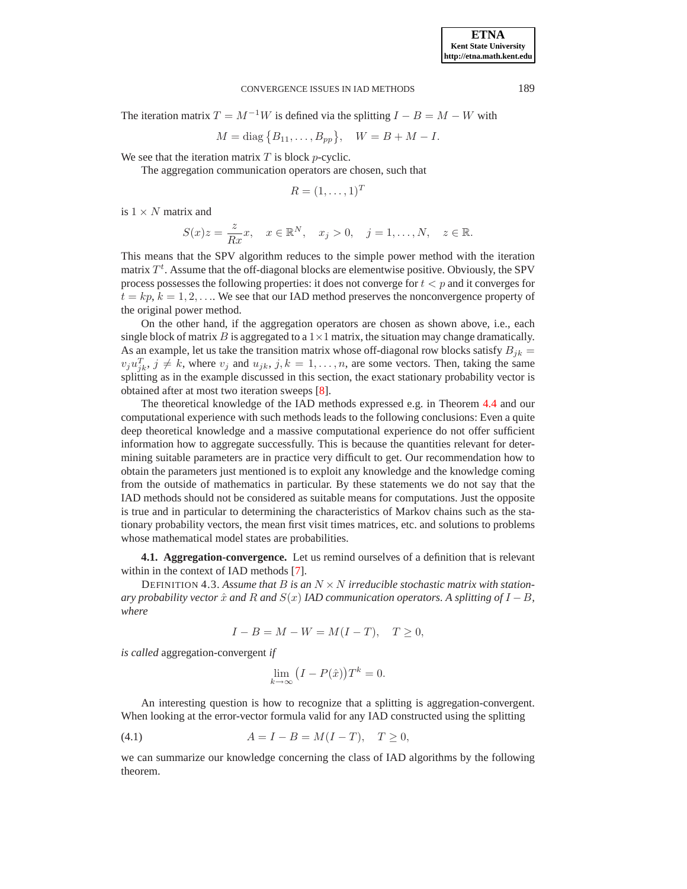The iteration matrix  $T = M^{-1}W$  is defined via the splitting  $I - B = M - W$  with

$$
M = \text{diag} \{B_{11}, \ldots, B_{pp}\}, \quad W = B + M - I.
$$

We see that the iteration matrix  $T$  is block p-cyclic.

The aggregation communication operators are chosen, such that

$$
R = (1, \ldots, 1)^T
$$

is  $1 \times N$  matrix and

$$
S(x)z = \frac{z}{Rx}x, \quad x \in \mathbb{R}^N, \quad x_j > 0, \quad j = 1, \dots, N, \quad z \in \mathbb{R}.
$$

This means that the SPV algorithm reduces to the simple power method with the iteration matrix  $T<sup>t</sup>$ . Assume that the off-diagonal blocks are elementwise positive. Obviously, the SPV process possesses the following properties: it does not converge for  $t < p$  and it converges for  $t = kp, k = 1, 2, \ldots$  We see that our IAD method preserves the nonconvergence property of the original power method.

On the other hand, if the aggregation operators are chosen as shown above, i.e., each single block of matrix B is aggregated to a  $1\times1$  matrix, the situation may change dramatically. As an example, let us take the transition matrix whose off-diagonal row blocks satisfy  $B_{ik} =$  $v_j u_{jk}^T$ ,  $j \neq k$ , where  $v_j$  and  $u_{jk}$ ,  $j, k = 1, \ldots, n$ , are some vectors. Then, taking the same splitting as in the example discussed in this section, the exact stationary probability vector is obtained after at most two iteration sweeps [\[8\]](#page-15-6).

The theoretical knowledge of the IAD methods expressed e.g. in Theorem [4.4](#page-5-0) and our computational experience with such methods leads to the following conclusions: Even a quite deep theoretical knowledge and a massive computational experience do not offer sufficient information how to aggregate successfully. This is because the quantities relevant for determining suitable parameters are in practice very difficult to get. Our recommendation how to obtain the parameters just mentioned is to exploit any knowledge and the knowledge coming from the outside of mathematics in particular. By these statements we do not say that the IAD methods should not be considered as suitable means for computations. Just the opposite is true and in particular to determining the characteristics of Markov chains such as the stationary probability vectors, the mean first visit times matrices, etc. and solutions to problems whose mathematical model states are probabilities.

**4.1. Aggregation-convergence.** Let us remind ourselves of a definition that is relevant within in the context of IAD methods [\[7\]](#page-15-3).

DEFINITION 4.3. Assume that B is an  $N \times N$  *irreducible stochastic matrix with stationary probability vector*  $\hat{x}$  *and*  $R$  *and*  $S(x)$  *IAD communication operators.* A *splitting of*  $I - B$ *, where*

$$
I - B = M - W = M(I - T), \quad T \ge 0,
$$

*is called* aggregation-convergent *if*

$$
\lim_{k \to \infty} (I - P(\hat{x})) T^k = 0.
$$

An interesting question is how to recognize that a splitting is aggregation-convergent. When looking at the error-vector formula valid for any IAD constructed using the splitting

<span id="page-4-0"></span>(4.1) 
$$
A = I - B = M(I - T), \quad T \ge 0,
$$

we can summarize our knowledge concerning the class of IAD algorithms by the following theorem.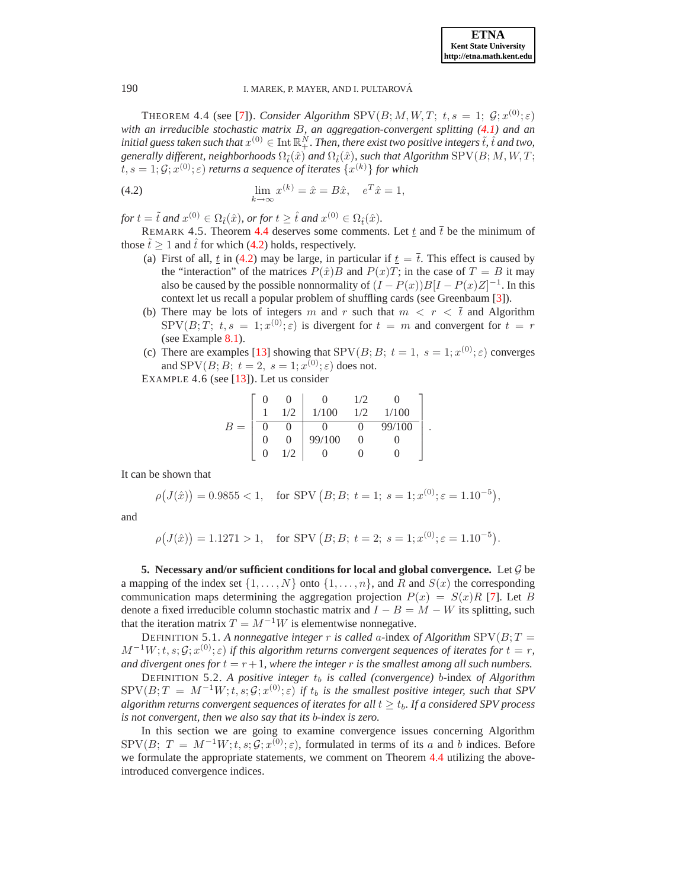<span id="page-5-0"></span>THEOREM 4.4 (see [\[7\]](#page-15-3)). *Consider Algorithm*  $SPV(B; M, W, T; t, s = 1; \mathcal{G}; x^{(0)}; \varepsilon)$ *with an irreducible stochastic matrix* B*, an aggregation-convergent splitting [\(4.1\)](#page-4-0) and an* initial guess taken such that  $x^{(0)} \in \text{Int} \, \mathbb{R}^N_+ .$  Then, there exist two positive integers  $\tilde{t},\hat{t}$  and two, *generally different, neighborhoods*  $\Omega_{\tilde{t}}(\hat{x})$  *and*  $\Omega_{\hat{t}}(\hat{x})$ *, such that Algorithm* SPV( $B; M, W, T$ ;  $t,s=1;\mathcal{G};x^{(0)};\varepsilon)$  returns a sequence of iterates  $\{x^{(k)}\}$  for which

<span id="page-5-1"></span>(4.2) 
$$
\lim_{k \to \infty} x^{(k)} = \hat{x} = B\hat{x}, \quad e^T \hat{x} = 1,
$$

 $for t = \tilde{t}$  and  $x^{(0)} \in \Omega_{\tilde{t}}(\hat{x})$ , or for  $t \geq \hat{t}$  and  $x^{(0)} \in \Omega_{\hat{t}}(\hat{x})$ .

REMARK 4.5. Theorem [4.4](#page-5-0) deserves some comments. Let t and  $\bar{t}$  be the minimum of those  $\tilde{t} \ge 1$  and  $\hat{t}$  for which [\(4.2\)](#page-5-1) holds, respectively.

- (a) First of all,  $\underline{t}$  in [\(4.2\)](#page-5-1) may be large, in particular if  $\underline{t} = \overline{t}$ . This effect is caused by the "interaction" of the matrices  $P(\hat{x})B$  and  $P(x)T$ ; in the case of  $T = B$  it may also be caused by the possible nonnormality of  $(I - P(x))B[I - P(x)Z]^{-1}$ . In this context let us recall a popular problem of shuffling cards (see Greenbaum [\[3\]](#page-15-7)).
- (b) There may be lots of integers m and r such that  $m < r < \bar{t}$  and Algorithm  $SPV(B;T; t, s = 1; x^{(0)}; \varepsilon)$  is divergent for  $t = m$  and convergent for  $t = r$ (see Example [8.1\)](#page-13-0).
- (c) There are examples [\[13\]](#page-15-8) showing that SPV $(B; B; t = 1, s = 1; x^{(0)}; \varepsilon)$  converges and SPV $(B; B; t = 2, s = 1; x^{(0)}; \varepsilon)$  does not.

EXAMPLE 4.6 (see [\[13\]](#page-15-8)). Let us consider

$$
B = \begin{bmatrix} 0 & 0 & 0 & 1/2 & 0 \\ 1 & 1/2 & 1/100 & 1/2 & 1/100 \\ \hline 0 & 0 & 0 & 0 & 99/100 \\ 0 & 0 & 99/100 & 0 & 0 \\ 0 & 1/2 & 0 & 0 & 0 \end{bmatrix}.
$$

It can be shown that

$$
\rho\big(J(\hat{x})\big) = 0.9855 < 1, \quad \text{for SPV } (B; B; \ t = 1; \ s = 1; x^{(0)}; \varepsilon = 1.10^{-5}),
$$

and

 $\rho(J(\hat{x})) = 1.1271 > 1$ , for SPV  $(B; B; t = 2; s = 1; x^{(0)}; \varepsilon = 1.10^{-5})$ .

**5. Necessary and/or sufficient conditions for local and global convergence.** Let G be a mapping of the index set  $\{1, \ldots, N\}$  onto  $\{1, \ldots, n\}$ , and R and  $S(x)$  the corresponding communication maps determining the aggregation projection  $P(x) = S(x)R$  [\[7\]](#page-15-3). Let B denote a fixed irreducible column stochastic matrix and  $I - B = M - W$  its splitting, such that the iteration matrix  $T = M^{-1}W$  is elementwise nonnegative.

DEFINITION 5.1. A nonnegative integer r is called a-index of Algorithm  $SPV(B; T =$  $M^{-1}W; t, s; \mathcal{G}; x^{(0)}; \varepsilon$  *if this algorithm returns convergent sequences of iterates for*  $t = r$ , *and divergent ones for*  $t = r + 1$ *, where the integer* r *is the smallest among all such numbers.* 

DEFINITION 5.2. A positive integer  $t<sub>b</sub>$  is called (convergence) b-index of Algorithm  $SPV(B; T = M^{-1}W; t, s; \mathcal{G}; x^{(0)}; \varepsilon)$  if  $t_b$  is the smallest positive integer, such that SPV *algorithm returns convergent sequences of iterates for all*  $t \geq t_b$ . If a considered SPV process *is not convergent, then we also say that its* b*-index is zero.*

In this section we are going to examine convergence issues concerning Algorithm  $SPV(B; T = M^{-1}W; t, s; \mathcal{G}; x^{(0)}; \varepsilon)$ , formulated in terms of its a and b indices. Before we formulate the appropriate statements, we comment on Theorem [4.4](#page-5-0) utilizing the aboveintroduced convergence indices.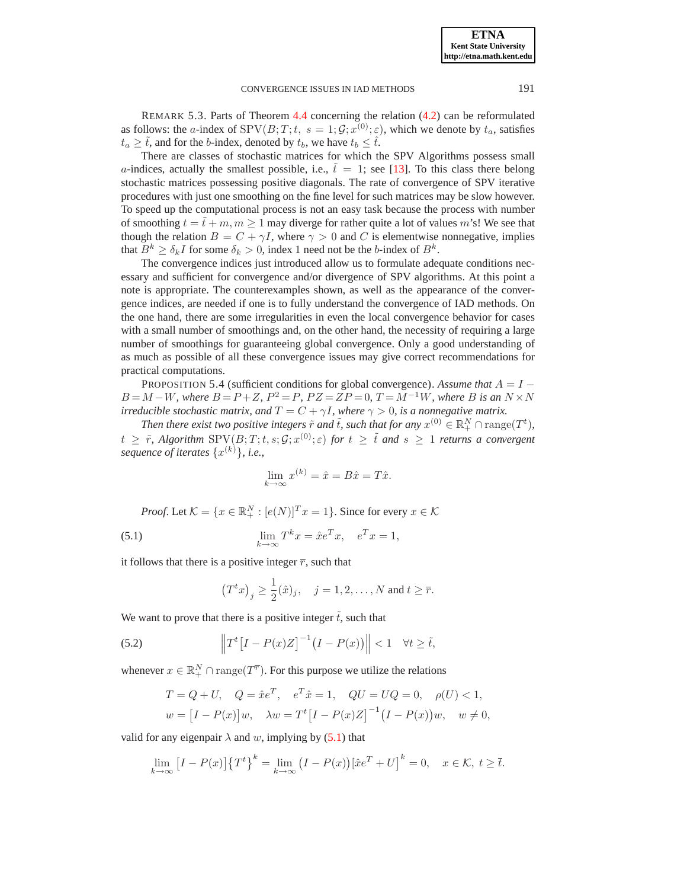REMARK 5.3. Parts of Theorem [4.4](#page-5-0) concerning the relation [\(4.2\)](#page-5-1) can be reformulated as follows: the *a*-index of  $SPV(B;T; t, s = 1; \mathcal{G}; x^{(0)}; \varepsilon)$ , which we denote by  $t_a$ , satisfies  $t_a \geq \tilde{t}$ , and for the b-index, denoted by  $t_b$ , we have  $t_b \leq \tilde{t}$ .

There are classes of stochastic matrices for which the SPV Algorithms possess small a-indices, actually the smallest possible, i.e.,  $\dot{t} = 1$ ; see [\[13\]](#page-15-8). To this class there belong stochastic matrices possessing positive diagonals. The rate of convergence of SPV iterative procedures with just one smoothing on the fine level for such matrices may be slow however. To speed up the computational process is not an easy task because the process with number of smoothing  $t = \tilde{t} + m, m \ge 1$  may diverge for rather quite a lot of values m's! We see that though the relation  $B = C + \gamma I$ , where  $\gamma > 0$  and C is elementwise nonnegative, implies that  $B^k \ge \delta_k I$  for some  $\delta_k > 0$ , index 1 need not be the *b*-index of  $B^k$ .

The convergence indices just introduced allow us to formulate adequate conditions necessary and sufficient for convergence and/or divergence of SPV algorithms. At this point a note is appropriate. The counterexamples shown, as well as the appearance of the convergence indices, are needed if one is to fully understand the convergence of IAD methods. On the one hand, there are some irregularities in even the local convergence behavior for cases with a small number of smoothings and, on the other hand, the necessity of requiring a large number of smoothings for guaranteeing global convergence. Only a good understanding of as much as possible of all these convergence issues may give correct recommendations for practical computations.

<span id="page-6-2"></span>PROPOSITION 5.4 (sufficient conditions for global convergence). *Assume that*  $A = I −$  $B = M - W$ , where  $B = P + Z$ ,  $P^2 = P$ ,  $PZ = ZP = 0$ ,  $T = M^{-1}W$ , where B is an  $N \times N$ *irreducible stochastic matrix, and*  $T = C + \gamma I$ *, where*  $\gamma > 0$ *, is a nonnegative matrix.* 

*Then there exist two positive integers*  $\tilde{r}$  *and*  $\tilde{t}$ *, such that for any*  $x^{(0)} \in \mathbb{R}^N_+ \cap \text{range}(T^t)$ *,*  $t \geq \tilde{r}$ , Algorithm  $SPV(B;T;t,s;\mathcal{G};x^{(0)};\varepsilon)$  for  $t \geq \tilde{t}$  and  $s \geq 1$  returns a convergent *sequence of iterates* {x (k)}*, i.e.,*

$$
\lim_{k \to \infty} x^{(k)} = \hat{x} = B\hat{x} = T\hat{x}.
$$

*Proof.* Let  $K = \{x \in \mathbb{R}_+^N : [e(N)]^T x = 1\}$ . Since for every  $x \in \mathcal{K}$ 

<span id="page-6-0"></span>(5.1) 
$$
\lim_{k \to \infty} T^k x = \hat{x} e^T x, \quad e^T x = 1,
$$

it follows that there is a positive integer  $\bar{r}$ , such that

$$
(T^tx)_j \ge \frac{1}{2}(\hat{x})_j
$$
,  $j = 1, 2, ..., N$  and  $t \ge \overline{r}$ .

We want to prove that there is a positive integer  $\tilde{t}$ , such that

<span id="page-6-1"></span>(5.2) 
$$
\left\|T^t[I-P(x)Z\right]^{-1}(I-P(x))\right\| < 1 \quad \forall t \geq \tilde{t},
$$

whenever  $x \in \mathbb{R}_+^N \cap \text{range}(T^{\overline{r}})$ . For this purpose we utilize the relations

$$
T = Q + U, \quad Q = \hat{x}e^{T}, \quad e^{T}\hat{x} = 1, \quad QU = UQ = 0, \quad \rho(U) < 1,
$$
\n
$$
w = [I - P(x)]w, \quad \lambda w = T^{t}[I - P(x)Z]^{-1}(I - P(x))w, \quad w \neq 0,
$$

valid for any eigenpair  $\lambda$  and w, implying by [\(5.1\)](#page-6-0) that

$$
\lim_{k \to \infty} \left[ I - P(x) \right] \left\{ T^t \right\}^k = \lim_{k \to \infty} \left( I - P(x) \right) \left[ \hat{x} e^T + U \right]^k = 0, \quad x \in \mathcal{K}, \ t \ge \overline{t}.
$$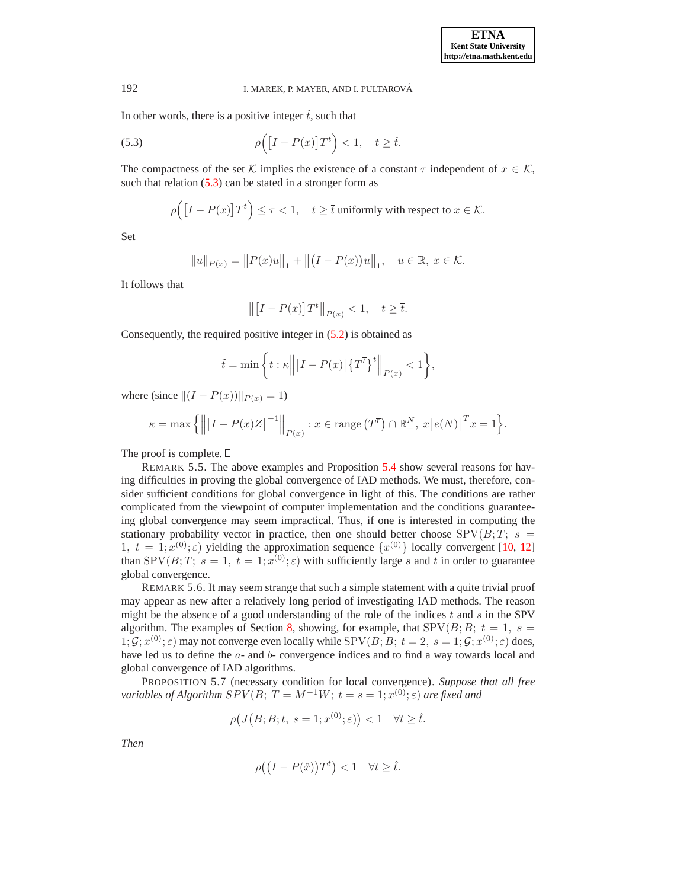In other words, there is a positive integer  $\check{t}$ , such that

<span id="page-7-0"></span>(5.3) 
$$
\rho\Big([I - P(x)]T^t\Big) < 1, \quad t \ge \check{t}.
$$

The compactness of the set K implies the existence of a constant  $\tau$  independent of  $x \in \mathcal{K}$ , such that relation  $(5.3)$  can be stated in a stronger form as

$$
\rho\Big(\big[I - P(x)\big]T^t\Big) \le \tau < 1, \quad t \ge \overline{t} \text{ uniformly with respect to } x \in \mathcal{K}.
$$

Set

$$
||u||_{P(x)} = ||P(x)u||_1 + ||(I - P(x))u||_1, \quad u \in \mathbb{R}, \ x \in \mathcal{K}.
$$

It follows that

$$
\left\| \left[I - P(x)\right] T^t \right\|_{P(x)} < 1, \quad t \ge \overline{t}.
$$

Consequently, the required positive integer in [\(5.2\)](#page-6-1) is obtained as

$$
\tilde{t} = \min\bigg\{t : \kappa \Big\| \big[I - P(x)\big] \big\{T^{\overline{t}}\big\}^t \Big\|_{P(x)} < 1 \bigg\},
$$

where (since  $||(I - P(x))||_{P(x)} = 1$ )

$$
\kappa = \max\left\{ \left\| \left[I - P(x)Z\right]^{-1} \right\|_{P(x)} : x \in \text{range}\left(T^{\overline{r}}\right) \cap \mathbb{R}^N_+, x\left[e(N)\right]^T x = 1 \right\}.
$$

The proof is complete.  $\square$ 

REMARK 5.5. The above examples and Proposition [5.4](#page-6-2) show several reasons for having difficulties in proving the global convergence of IAD methods. We must, therefore, consider sufficient conditions for global convergence in light of this. The conditions are rather complicated from the viewpoint of computer implementation and the conditions guaranteeing global convergence may seem impractical. Thus, if one is interested in computing the stationary probability vector in practice, then one should better choose  $SPV(B; T; s =$ 1,  $t = 1; x^{(0)}; \varepsilon$ ) yielding the approximation sequence  $\{x^{(0)}\}$  locally convergent [\[10,](#page-15-9) [12\]](#page-15-5) than SPV $(B;T; s = 1, t = 1; x^{(0)}; \varepsilon)$  with sufficiently large s and t in order to guarantee global convergence.

REMARK 5.6. It may seem strange that such a simple statement with a quite trivial proof may appear as new after a relatively long period of investigating IAD methods. The reason might be the absence of a good understanding of the role of the indices  $t$  and  $s$  in the SPV algorithm. The examples of Section [8,](#page-13-1) showing, for example, that  $SPV(B; B; t = 1, s =$  $1; \mathcal{G}; x^{(0)}; \varepsilon)$  may not converge even locally while SPV(B; B;  $t = 2$ ,  $s = 1; \mathcal{G}; x^{(0)}; \varepsilon)$  does, have led us to define the  $a$ - and  $b$ - convergence indices and to find a way towards local and global convergence of IAD algorithms.

<span id="page-7-1"></span>PROPOSITION 5.7 (necessary condition for local convergence). *Suppose that all free variables of Algorithm*  $SPV(B; T = M^{-1}W; t = s = 1; x^{(0)}; \varepsilon)$  *are fixed and* 

$$
\rho(J(B;B;t, s=1; x^{(0)}; \varepsilon)) < 1 \quad \forall t \ge \hat{t}.
$$

*Then*

$$
\rho((I - P(\hat{x}))T^t) < 1 \quad \forall t \ge \hat{t}.
$$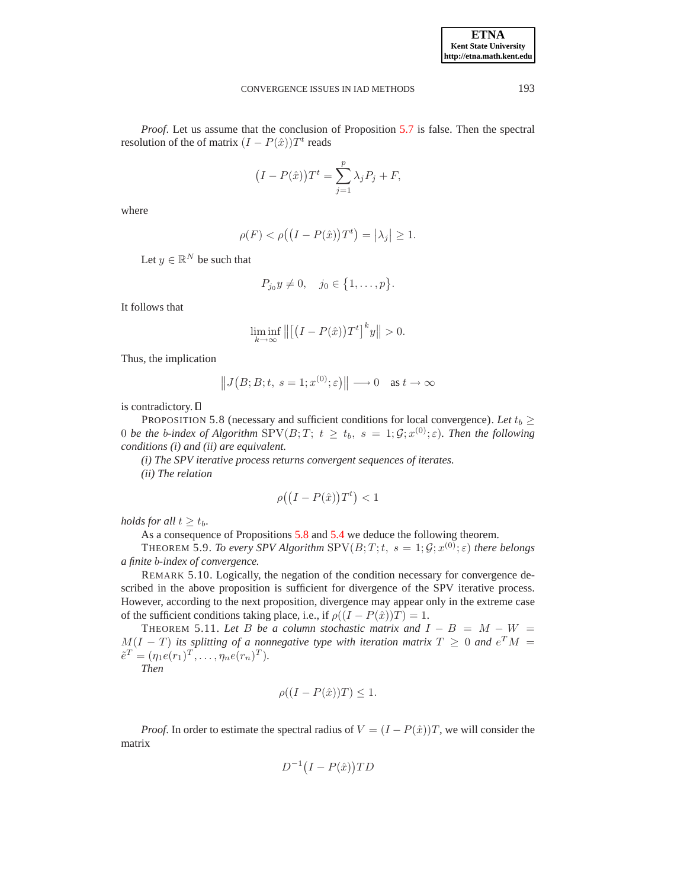*Proof.* Let us assume that the conclusion of Proposition [5.7](#page-7-1) is false. Then the spectral resolution of the of matrix  $(I - P(\hat{x}))T^t$  reads

$$
(I - P(\hat{x}))T^{t} = \sum_{j=1}^{p} \lambda_j P_j + F,
$$

where

$$
\rho(F) < \rho\big(\big(I - P(\hat{x})\big)T^t\big) = \big|\lambda_j\big| \ge 1.
$$

Let  $y \in \mathbb{R}^N$  be such that

$$
P_{j_0}y \neq 0, \quad j_0 \in \{1, \ldots, p\}.
$$

It follows that

$$
\liminf_{k \to \infty} \left\| \left[ \left( I - P(\hat{x}) \right) T^t \right]^k y \right\| > 0.
$$

Thus, the implication

$$
||J(B;B;t, s=1; x^{(0)};\varepsilon)|| \longrightarrow 0 \text{ as } t \to \infty
$$

<span id="page-8-0"></span>is contradictory.

PROPOSITION 5.8 (necessary and sufficient conditions for local convergence). Let  $t_b \ge$ 0 *be the b-index of Algorithm*  $SPV(B;T; t \geq t_b, s = 1; \mathcal{G}; x^{(0)}; \varepsilon)$ . Then the following *conditions (i) and (ii) are equivalent.*

*(i) The SPV iterative process returns convergent sequences of iterates.*

*(ii) The relation*

$$
\rho((I - P(\hat{x}))T^t) < 1
$$

*holds for all*  $t \geq t_b$ .

As a consequence of Propositions [5.8](#page-8-0) and [5.4](#page-6-2) we deduce the following theorem.

**THEOREM 5.9.** *To every SPV Algorithm*  $SPV(B;T;t, s = 1; \mathcal{G}; x^{(0)};\varepsilon)$  there belongs *a finite* b*-index of convergence.*

REMARK 5.10. Logically, the negation of the condition necessary for convergence described in the above proposition is sufficient for divergence of the SPV iterative process. However, according to the next proposition, divergence may appear only in the extreme case of the sufficient conditions taking place, i.e., if  $\rho((I - P(\hat{x}))T) = 1$ .

<span id="page-8-1"></span>THEOREM 5.11. Let B be a column stochastic matrix and  $I - B = M - W =$  $M(I - T)$  its splitting of a nonnegative type with iteration matrix  $T \geq 0$  and  $e^{T}M =$  $\tilde{e}^{T} = (\eta_1 e(r_1)^T, \dots, \eta_n e(r_n)^T).$ 

*Then*

$$
\rho((I - P(\hat{x}))T) \le 1.
$$

*Proof.* In order to estimate the spectral radius of  $V = (I - P(\hat{x}))T$ , we will consider the matrix

$$
D^{-1}(I - P(\hat{x}))TD
$$

**ETNA Kent State University http://etna.math.kent.edu**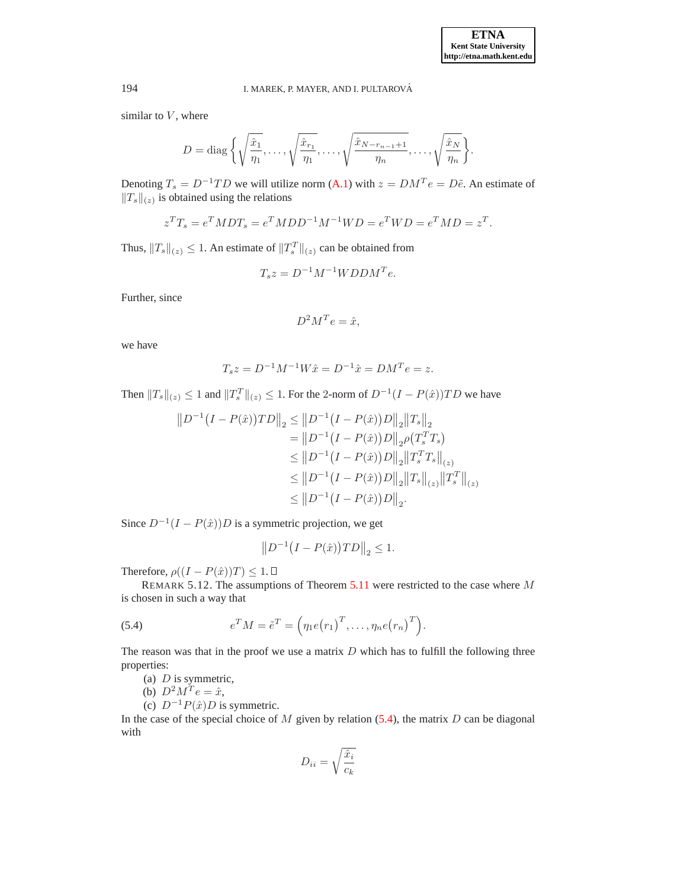similar to  $V$ , where

$$
D = \text{diag}\left\{\sqrt{\frac{\hat{x}_1}{\eta_1}}, \dots, \sqrt{\frac{\hat{x}_{r_1}}{\eta_1}}, \dots, \sqrt{\frac{\hat{x}_{N-r_{n-1}+1}}{\eta_n}}, \dots, \sqrt{\frac{\hat{x}_N}{\eta_n}}\right\}.
$$

Denoting  $T_s = D^{-1}TD$  we will utilize norm [\(A.1\)](#page-15-10) with  $z = DM^T e = D\tilde{e}$ . An estimate of  $||T_s||_{(z)}$  is obtained using the relations

$$
z^{T}T_{s} = e^{T}MDT_{s} = e^{T}MDD^{-1}M^{-1}WD = e^{T}WD = e^{T}MD = z^{T}.
$$

Thus,  $||T_s||_{(z)} \leq 1$ . An estimate of  $||T_s^T||_{(z)}$  can be obtained from

$$
T_s z = D^{-1} M^{-1} W D D M^T e.
$$

Further, since

$$
D^2M^Te = \hat{x},
$$

we have

$$
T_s z = D^{-1} M^{-1} W \hat{x} = D^{-1} \hat{x} = D M^T e = z.
$$

Then  $||T_s||_{(z)} \leq 1$  and  $||T_s||_{(z)} \leq 1$ . For the 2-norm of  $D^{-1}(I - P(\hat{x}))TD$  we have

$$
||D^{-1}(I - P(\hat{x}))TD||_2 \le ||D^{-1}(I - P(\hat{x}))D||_2 ||T_s||_2
$$
  
\n
$$
= ||D^{-1}(I - P(\hat{x}))D||_2 \rho (T_s^T T_s)
$$
  
\n
$$
\le ||D^{-1}(I - P(\hat{x}))D||_2 ||T_s^T T_s||_{(z)}
$$
  
\n
$$
\le ||D^{-1}(I - P(\hat{x}))D||_2 ||T_s||_{(z)} ||T_s^T||_{(z)}
$$
  
\n
$$
\le ||D^{-1}(I - P(\hat{x}))D||_2.
$$

Since  $D^{-1}(I - P(\hat{x}))D$  is a symmetric projection, we get

$$
||D^{-1}(I - P(\hat{x}))TD||_2 \le 1.
$$

Therefore,  $\rho((I - P(\hat{x}))T) \leq 1$ .  $\Box$ 

REMARK 5.12. The assumptions of Theorem [5.11](#page-8-1) were restricted to the case where M is chosen in such a way that

<span id="page-9-0"></span>(5.4) 
$$
e^T M = \tilde{e}^T = \left(\eta_1 e(r_1)^T, \dots, \eta_n e(r_n)^T\right).
$$

The reason was that in the proof we use a matrix  $D$  which has to fulfill the following three properties:

(a)  $D$  is symmetric,

(b)  $D^2 M^T e = \hat{x}$ ,

(c)  $D^{-1}P(\hat{x})D$  is symmetric.

In the case of the special choice of  $M$  given by relation [\(5.4\)](#page-9-0), the matrix  $D$  can be diagonal with

$$
D_{ii} = \sqrt{\frac{\hat{x}_i}{c_k}}
$$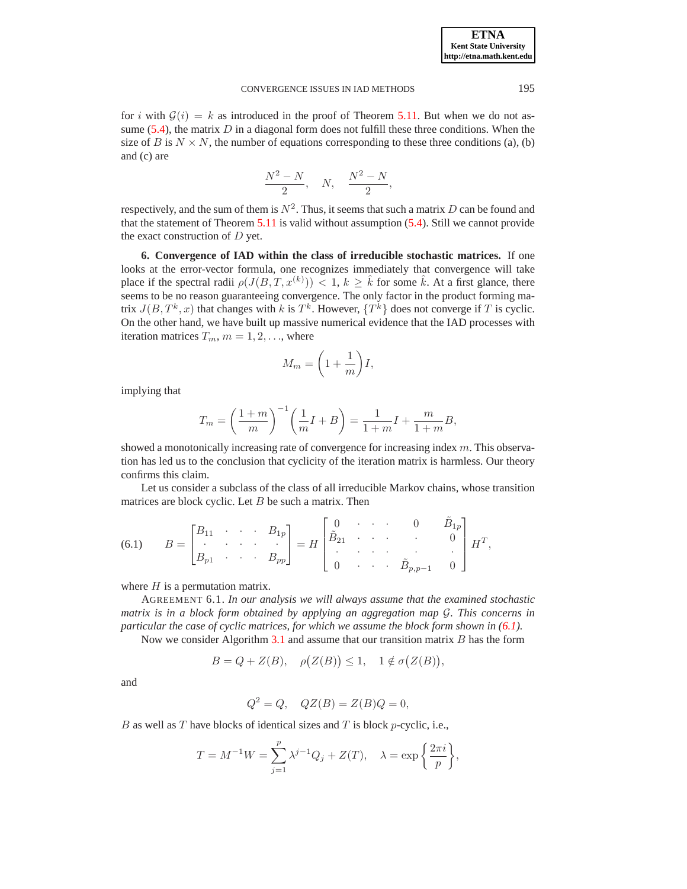for i with  $G(i) = k$  as introduced in the proof of Theorem [5.11.](#page-8-1) But when we do not assume  $(5.4)$ , the matrix D in a diagonal form does not fulfill these three conditions. When the size of B is  $N \times N$ , the number of equations corresponding to these three conditions (a), (b) and (c) are

$$
\frac{N^2-N}{2}, \quad N, \quad \frac{N^2-N}{2},
$$

respectively, and the sum of them is  $N^2$ . Thus, it seems that such a matrix D can be found and that the statement of Theorem [5.11](#page-8-1) is valid without assumption [\(5.4\)](#page-9-0). Still we cannot provide the exact construction of  $D$  yet.

**6. Convergence of IAD within the class of irreducible stochastic matrices.** If one looks at the error-vector formula, one recognizes immediately that convergence will take place if the spectral radii  $\rho(J(B,T,x^{(k)})) < 1, k \geq \hat{k}$  for some  $\hat{k}$ . At a first glance, there seems to be no reason guaranteeing convergence. The only factor in the product forming matrix  $J(B, T^k, x)$  that changes with k is  $T^k$ . However,  $\{T^k\}$  does not converge if T is cyclic. On the other hand, we have built up massive numerical evidence that the IAD processes with iteration matrices  $T_m$ ,  $m = 1, 2, \dots$ , where

$$
M_m = \left(1 + \frac{1}{m}\right)I,
$$

implying that

$$
T_m = \left(\frac{1+m}{m}\right)^{-1} \left(\frac{1}{m}I + B\right) = \frac{1}{1+m}I + \frac{m}{1+m}B,
$$

showed a monotonically increasing rate of convergence for increasing index m. This observation has led us to the conclusion that cyclicity of the iteration matrix is harmless. Our theory confirms this claim.

Let us consider a subclass of the class of all irreducible Markov chains, whose transition matrices are block cyclic. Let  $B$  be such a matrix. Then

<span id="page-10-0"></span>(6.1) 
$$
B = \begin{bmatrix} B_{11} & \cdots & B_{1p} \\ \vdots & \vdots & \vdots \\ B_{p1} & \cdots & B_{pp} \end{bmatrix} = H \begin{bmatrix} 0 & \cdots & 0 & \tilde{B}_{1p} \\ \tilde{B}_{21} & \cdots & 0 & 0 \\ \vdots & \vdots & \vdots & \vdots \\ 0 & \cdots & \tilde{B}_{p,p-1} & 0 \end{bmatrix} H^T,
$$

where  $H$  is a permutation matrix.

AGREEMENT 6.1. *In our analysis we will always assume that the examined stochastic matrix is in a block form obtained by applying an aggregation map* G*. This concerns in particular the case of cyclic matrices, for which we assume the block form shown in [\(6.1\)](#page-10-0).*

Now we consider Algorithm [3.1](#page-2-0) and assume that our transition matrix  $B$  has the form

$$
B = Q + Z(B), \quad \rho(Z(B)) \le 1, \quad 1 \notin \sigma(Z(B)),
$$

and

$$
Q^2 = Q, \quad QZ(B) = Z(B)Q = 0,
$$

B as well as T have blocks of identical sizes and T is block p-cyclic, i.e.,

$$
T = M^{-1}W = \sum_{j=1}^{p} \lambda^{j-1} Q_j + Z(T), \quad \lambda = \exp\left\{\frac{2\pi i}{p}\right\},\,
$$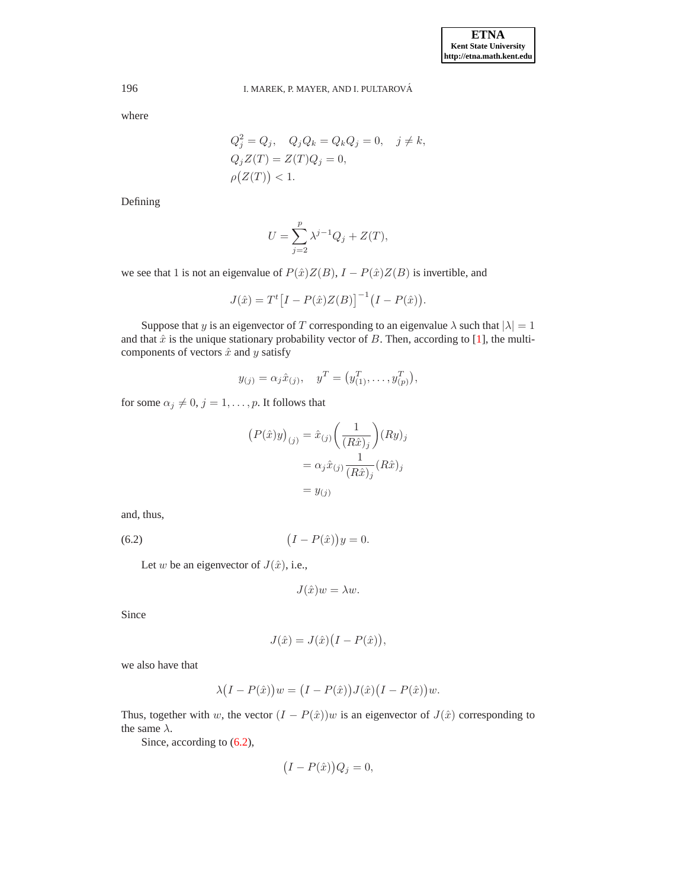where

$$
Q_j^2 = Q_j, \quad Q_j Q_k = Q_k Q_j = 0, \quad j \neq k,
$$
  
\n
$$
Q_j Z(T) = Z(T) Q_j = 0,
$$
  
\n
$$
\rho(Z(T)) < 1.
$$

Defining

$$
U = \sum_{j=2}^{p} \lambda^{j-1} Q_j + Z(T),
$$

we see that 1 is not an eigenvalue of  $P(\hat{x})Z(B)$ ,  $I - P(\hat{x})Z(B)$  is invertible, and

$$
J(\hat{x}) = T^{t} [I - P(\hat{x})Z(B)]^{-1} (I - P(\hat{x})).
$$

Suppose that y is an eigenvector of T corresponding to an eigenvalue  $\lambda$  such that  $|\lambda| = 1$ and that  $\hat{x}$  is the unique stationary probability vector of  $B$ . Then, according to [\[1\]](#page-15-11), the multicomponents of vectors  $\hat{x}$  and y satisfy

$$
y_{(j)} = \alpha_j \hat{x}_{(j)}, \quad y^T = (y_{(1)}^T, \dots, y_{(p)}^T),
$$

for some  $\alpha_j \neq 0, j = 1, \ldots, p$ . It follows that

$$
(P(\hat{x})y)_{(j)} = \hat{x}_{(j)} \left(\frac{1}{(R\hat{x})_j}\right) (Ry)_j
$$

$$
= \alpha_j \hat{x}_{(j)} \frac{1}{(R\hat{x})_j} (R\hat{x})_j
$$

$$
= y_{(j)}
$$

and, thus,

<span id="page-11-0"></span>
$$
(6.2)\qquad \qquad (I - P(\hat{x}))y = 0.
$$

Let w be an eigenvector of  $J(\hat{x})$ , i.e.,

$$
J(\hat{x})w = \lambda w.
$$

Since

$$
J(\hat{x}) = J(\hat{x})\big(I - P(\hat{x})\big),\,
$$

we also have that

$$
\lambda (I - P(\hat{x})) w = (I - P(\hat{x})) J(\hat{x}) (I - P(\hat{x})) w.
$$

Thus, together with w, the vector  $(I - P(\hat{x}))w$  is an eigenvector of  $J(\hat{x})$  corresponding to the same  $\lambda$ .

Since, according to  $(6.2)$ ,

$$
(I - P(\hat{x}))Q_j = 0,
$$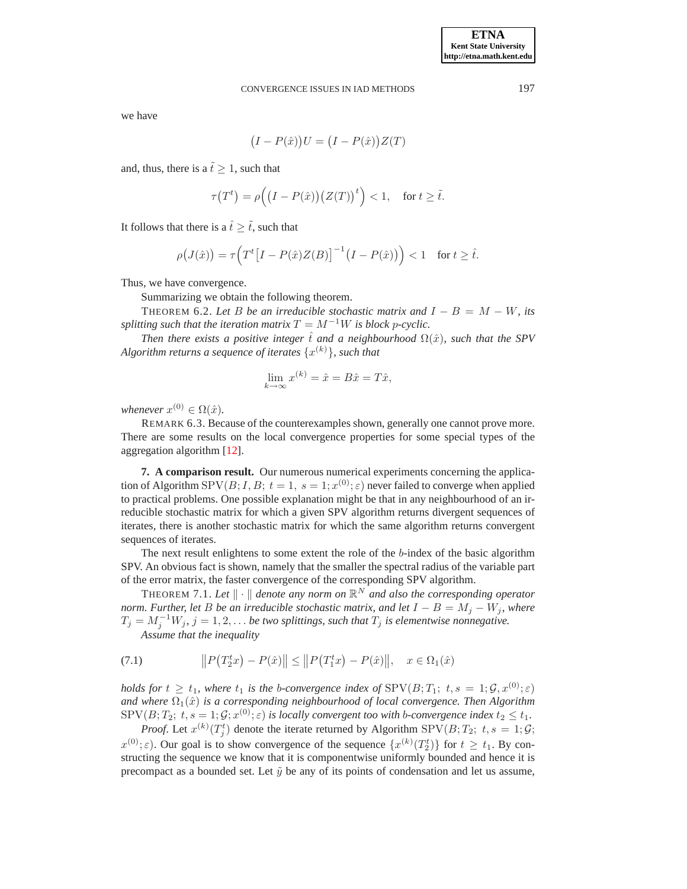we have

$$
(I - P(\hat{x}))U = (I - P(\hat{x}))Z(T)
$$

and, thus, there is a  $\tilde{t} \geq 1$ , such that

$$
\tau(T^t) = \rho\Big(\big(I - P(\hat{x})\big)\big(Z(T)\big)^t\Big) < 1, \quad \text{for } t \ge \tilde{t}.
$$

It follows that there is a  $\hat{t} \geq \tilde{t}$ , such that

$$
\rho\big(J(\hat{x})\big) = \tau\Big(T^t\big[I - P(\hat{x})Z(B)\big]^{-1}\big(I - P(\hat{x})\big)\Big) < 1 \quad \text{for } t \ge \hat{t}.
$$

Thus, we have convergence.

Summarizing we obtain the following theorem.

THEOREM 6.2. Let B be an irreducible stochastic matrix and  $I - B = M - W$ , its *splitting such that the iteration matrix*  $T = M^{-1}W$  *is block p-cyclic.* 

*Then there exists a positive integer*  $\hat{t}$  *and a neighbourhood*  $\Omega(\hat{x})$ *, such that the SPV* Algorithm returns a sequence of iterates  $\{x^{(k)}\}$ , such that

$$
\lim_{k \to \infty} x^{(k)} = \hat{x} = B\hat{x} = T\hat{x},
$$

*whenever*  $x^{(0)} \in \Omega(\hat{x})$ .

REMARK 6.3. Because of the counterexamples shown, generally one cannot prove more. There are some results on the local convergence properties for some special types of the aggregation algorithm [\[12\]](#page-15-5).

**7. A comparison result.** Our numerous numerical experiments concerning the application of Algorithm SPV $(B; I, B; t = 1, s = 1; x^{(0)}; \varepsilon)$  never failed to converge when applied to practical problems. One possible explanation might be that in any neighbourhood of an irreducible stochastic matrix for which a given SPV algorithm returns divergent sequences of iterates, there is another stochastic matrix for which the same algorithm returns convergent sequences of iterates.

The next result enlightens to some extent the role of the b-index of the basic algorithm SPV. An obvious fact is shown, namely that the smaller the spectral radius of the variable part of the error matrix, the faster convergence of the corresponding SPV algorithm.

<span id="page-12-1"></span>THEOREM 7.1. Let  $\|\cdot\|$  denote any norm on  $\mathbb{R}^N$  and also the corresponding operator *norm. Further, let* B *be an irreducible stochastic matrix, and let*  $I - B = M_j - W_j$ *, where*  $T_j = M_j^{-1}W_j$ ,  $j = 1, 2, ...$  *be two splittings, such that*  $T_j$  *is elementwise nonnegative.* 

*Assume that the inequality*

<span id="page-12-0"></span>(7.1) 
$$
||P(T_2^t x) - P(\hat{x})|| \le ||P(T_1^t x) - P(\hat{x})||, \quad x \in \Omega_1(\hat{x})
$$

*holds for*  $t \geq t_1$ *, where*  $t_1$  *is the b-convergence index of*  $SPV(B; T_1; t, s = 1; \mathcal{G}, x^{(0)}; \varepsilon)$ and where  $\Omega_1(\hat{x})$  *is a corresponding neighbourhood of local convergence. Then Algorithm*  $\text{SPV}(B;T_2;\,t,s=1;\mathcal{G};x^{(0)};\varepsilon)$  is locally convergent too with b-convergence index  $t_2\leq t_1$ .

*Proof.* Let  $x^{(k)}(T_j^t)$  denote the iterate returned by Algorithm SPV( $B$ ;  $T_2$ ;  $t, s = 1$ ;  $\mathcal{G}$ ;  $x^{(0)}; \varepsilon$ ). Our goal is to show convergence of the sequence  $\{x^{(k)}(T_2^t)\}\$  for  $t \ge t_1$ . By constructing the sequence we know that it is componentwise uniformly bounded and hence it is precompact as a bounded set. Let  $\tilde{y}$  be any of its points of condensation and let us assume,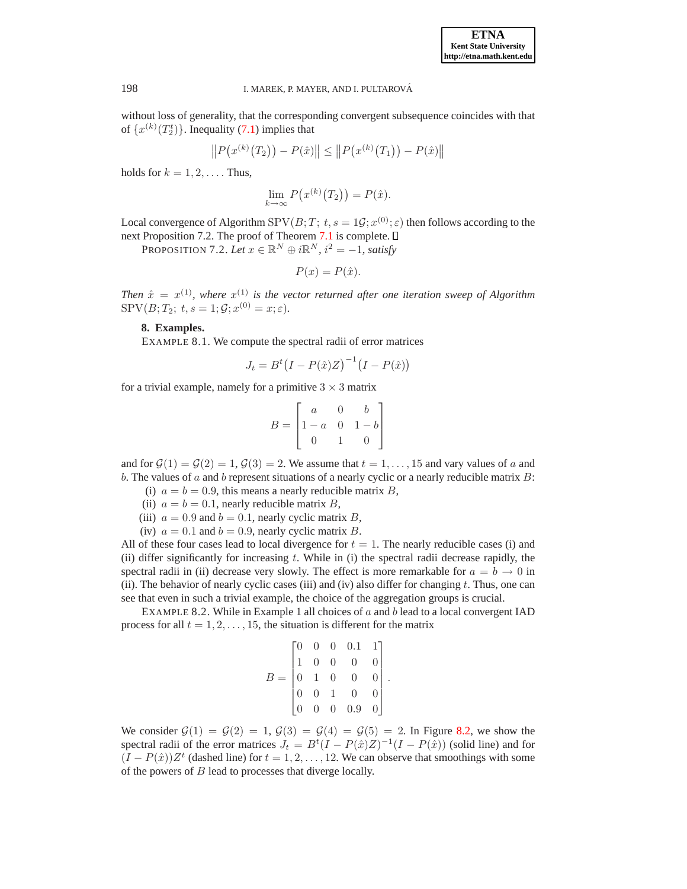without loss of generality, that the corresponding convergent subsequence coincides with that of  $\{x^{(k)}(T_2^t)\}\$ . Inequality [\(7.1\)](#page-12-0) implies that

$$
||P(x^{(k)}(T_2)) - P(\hat{x})|| \le ||P(x^{(k)}(T_1)) - P(\hat{x})||
$$

holds for  $k = 1, 2, \ldots$ . Thus,

$$
\lim_{k \to \infty} P(x^{(k)}(T_2)) = P(\hat{x}).
$$

Local convergence of Algorithm  $SPV(B;T; t, s = 1\mathcal{G}; x^{(0)}; \varepsilon)$  then follows according to the next Proposition 7.2. The proof of Theorem [7.1](#page-12-1) is complete.  $\Box$ 

PROPOSITION 7.2. Let  $x \in \mathbb{R}^N \oplus i\mathbb{R}^N$ ,  $i^2 = -1$ , satisfy

$$
P(x) = P(\hat{x}).
$$

<span id="page-13-1"></span><span id="page-13-0"></span>Then  $\hat{x} = x^{(1)}$ , where  $x^{(1)}$  is the vector returned after one iteration sweep of Algorithm  $SPV(B; T_2; t, s = 1; \mathcal{G}; x^{(0)} = x; \varepsilon).$ 

# **8. Examples.**

EXAMPLE 8.1. We compute the spectral radii of error matrices

$$
J_t = B^t (I - P(\hat{x})Z)^{-1} (I - P(\hat{x}))
$$

for a trivial example, namely for a primitive  $3 \times 3$  matrix

$$
B = \begin{bmatrix} a & 0 & b \\ 1 - a & 0 & 1 - b \\ 0 & 1 & 0 \end{bmatrix}
$$

and for  $\mathcal{G}(1) = \mathcal{G}(2) = 1$ ,  $\mathcal{G}(3) = 2$ . We assume that  $t = 1, \ldots, 15$  and vary values of a and b. The values of a and b represent situations of a nearly cyclic or a nearly reducible matrix  $B$ :

- (i)  $a = b = 0.9$ , this means a nearly reducible matrix B,
- (ii)  $a = b = 0.1$ , nearly reducible matrix B,
- (iii)  $a = 0.9$  and  $b = 0.1$ , nearly cyclic matrix B,
- (iv)  $a = 0.1$  and  $b = 0.9$ , nearly cyclic matrix B.

All of these four cases lead to local divergence for  $t = 1$ . The nearly reducible cases (i) and (ii) differ significantly for increasing  $t$ . While in (i) the spectral radii decrease rapidly, the spectral radii in (ii) decrease very slowly. The effect is more remarkable for  $a = b \rightarrow 0$  in (ii). The behavior of nearly cyclic cases (iii) and (iv) also differ for changing  $t$ . Thus, one can see that even in such a trivial example, the choice of the aggregation groups is crucial.

EXAMPLE 8.2. While in Example 1 all choices of  $a$  and  $b$  lead to a local convergent IAD process for all  $t = 1, 2, \ldots, 15$ , the situation is different for the matrix

$$
B = \begin{bmatrix} 0 & 0 & 0 & 0.1 & 1 \\ 1 & 0 & 0 & 0 & 0 \\ 0 & 1 & 0 & 0 & 0 \\ 0 & 0 & 1 & 0 & 0 \\ 0 & 0 & 0 & 0.9 & 0 \end{bmatrix}.
$$

We consider  $G(1) = G(2) = 1, G(3) = G(4) = G(5) = 2$ . In Figure [8.2,](#page-14-0) we show the spectral radii of the error matrices  $J_t = B^t(I - P(\hat{x})Z)^{-1}(I - P(\hat{x}))$  (solid line) and for  $(I - P(\hat{x}))Z^t$  (dashed line) for  $t = 1, 2, ..., 12$ . We can observe that smoothings with some of the powers of  $B$  lead to processes that diverge locally.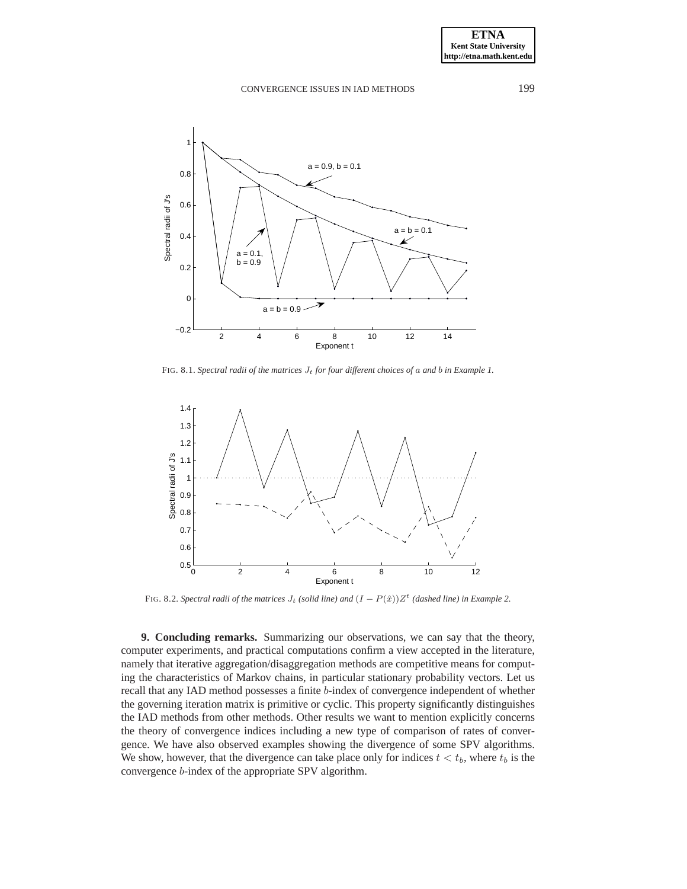

FIG. 8.1. *Spectral radii of the matrices*  $J_t$  *for four different choices of a and b in Example 1.* 



FIG. 8.2. *Spectral radii of the matrices*  $J_t$  *(solid line) and*  $(I - P(\hat{x}))Z^t$  *(dashed line) in Example* 2.

<span id="page-14-0"></span>**9. Concluding remarks.** Summarizing our observations, we can say that the theory, computer experiments, and practical computations confirm a view accepted in the literature, namely that iterative aggregation/disaggregation methods are competitive means for computing the characteristics of Markov chains, in particular stationary probability vectors. Let us recall that any IAD method possesses a finite b-index of convergence independent of whether the governing iteration matrix is primitive or cyclic. This property significantly distinguishes the IAD methods from other methods. Other results we want to mention explicitly concerns the theory of convergence indices including a new type of comparison of rates of convergence. We have also observed examples showing the divergence of some SPV algorithms. We show, however, that the divergence can take place only for indices  $t < t<sub>b</sub>$ , where  $t<sub>b</sub>$  is the convergence b-index of the appropriate SPV algorithm.